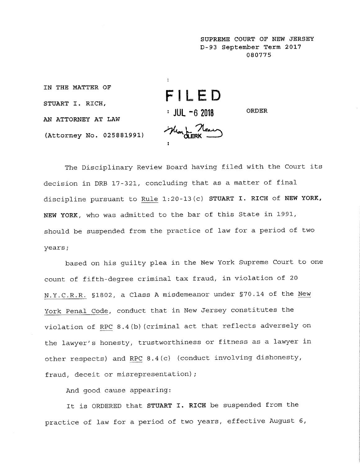**SUPREME COURT OF NEW JERSEY D-93 September Term 2017 080775**

**IN THE MATTER OF FILED STUART I. RICH, : JUL -6 20!8 ORDER AN ATTORNEY AT LAW** May L Near **(Attorney No. 025881991)**

The Disciplinary Review Board having filed with the Court its decision in DRB 17-321, concluding that as a matter of final discipline pursuant to Rule 1:20-13(c) STUART I. RICH of NEW YORK, NEW YORK, who was admitted to the bar of this State in 1991, should be suspended from the practice of law for a period of two years;

based on his guilty plea in the New York Supreme Court to one count of fifth-degree criminal tax fraud, in violation of 20 N.Y.C.R.R. §1802, a Class A misdemeanor under §70.14 of the New York Penal Code, conduct that in New Jersey constitutes the violation of RPC 8.4(b) (criminal act that reflects adversely on the lawyer's honesty, trustworthiness or fitness as a lawyer in other respects) and RPC 8.4(c) (conduct involving dishonesty, fraud, deceit or misrepresentation);

And good cause appearing:

It is ORDERED that STUART I. RICH be suspended from the practice of law for a period of two years, effective August 6,